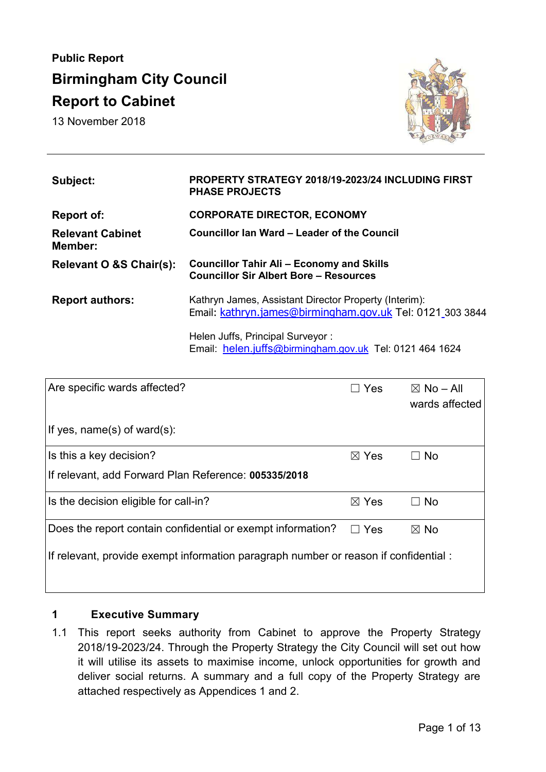# **Public Report Birmingham City Council Report to Cabinet**

13 November 2018



| Subject:                           | <b>PROPERTY STRATEGY 2018/19-2023/24 INCLUDING FIRST</b><br><b>PHASE PROJECTS</b>                                  |
|------------------------------------|--------------------------------------------------------------------------------------------------------------------|
| Report of:                         | <b>CORPORATE DIRECTOR, ECONOMY</b>                                                                                 |
| <b>Relevant Cabinet</b><br>Member: | Councillor lan Ward – Leader of the Council                                                                        |
| Relevant O &S Chair(s):            | <b>Councillor Tahir Ali - Economy and Skills</b><br><b>Councillor Sir Albert Bore - Resources</b>                  |
| <b>Report authors:</b>             | Kathryn James, Assistant Director Property (Interim):<br>Email: kathryn.james@birmingham.gov.uk Tel: 0121 303 3844 |
|                                    | Helen Juffs, Principal Surveyor:                                                                                   |

Email: helen.juffs[@birmingham.gov.uk](mailto:Clive.skidmore@birmingham.gov.uk) Tel: 0121 464 1624

| Are specific wards affected?                                                        | Yes<br>$\mathcal{L}$ | $\boxtimes$ No – All<br>wards affected |  |
|-------------------------------------------------------------------------------------|----------------------|----------------------------------------|--|
| If yes, $name(s)$ of ward(s):                                                       |                      |                                        |  |
| Is this a key decision?                                                             | $\boxtimes$ Yes      | $\Box$ No                              |  |
| If relevant, add Forward Plan Reference: 005335/2018                                |                      |                                        |  |
| Is the decision eligible for call-in?                                               | $\boxtimes$ Yes      | $\Box$ No                              |  |
| Does the report contain confidential or exempt information?                         | Yes                  | $\boxtimes$ No                         |  |
| If relevant, provide exempt information paragraph number or reason if confidential: |                      |                                        |  |
|                                                                                     |                      |                                        |  |

# **1 Executive Summary**

1.1 This report seeks authority from Cabinet to approve the Property Strategy 2018/19-2023/24. Through the Property Strategy the City Council will set out how it will utilise its assets to maximise income, unlock opportunities for growth and deliver social returns. A summary and a full copy of the Property Strategy are attached respectively as Appendices 1 and 2.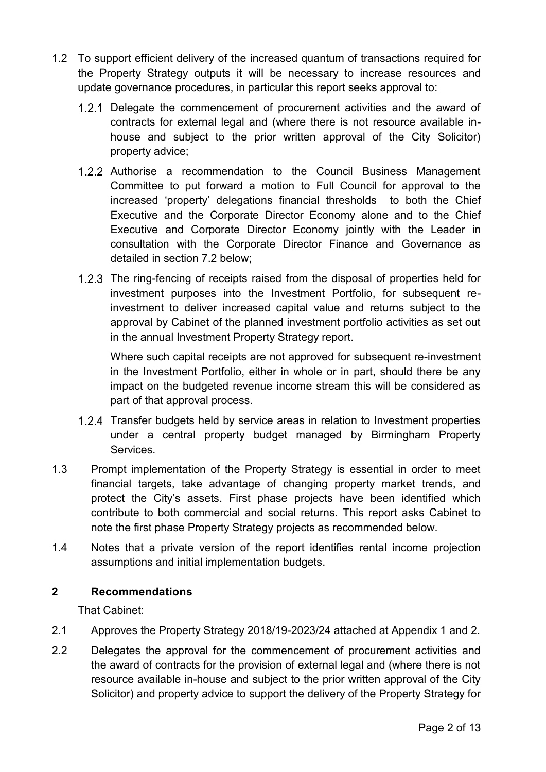- 1.2 To support efficient delivery of the increased quantum of transactions required for the Property Strategy outputs it will be necessary to increase resources and update governance procedures, in particular this report seeks approval to:
	- 1.2.1 Delegate the commencement of procurement activities and the award of contracts for external legal and (where there is not resource available inhouse and subject to the prior written approval of the City Solicitor) property advice;
	- 1.2.2 Authorise a recommendation to the Council Business Management Committee to put forward a motion to Full Council for approval to the increased 'property' delegations financial thresholds to both the Chief Executive and the Corporate Director Economy alone and to the Chief Executive and Corporate Director Economy jointly with the Leader in consultation with the Corporate Director Finance and Governance as detailed in section 7.2 below;
	- 1.2.3 The ring-fencing of receipts raised from the disposal of properties held for investment purposes into the Investment Portfolio, for subsequent reinvestment to deliver increased capital value and returns subject to the approval by Cabinet of the planned investment portfolio activities as set out in the annual Investment Property Strategy report.

Where such capital receipts are not approved for subsequent re-investment in the Investment Portfolio, either in whole or in part, should there be any impact on the budgeted revenue income stream this will be considered as part of that approval process.

- 1.2.4 Transfer budgets held by service areas in relation to Investment properties under a central property budget managed by Birmingham Property Services.
- 1.3 Prompt implementation of the Property Strategy is essential in order to meet financial targets, take advantage of changing property market trends, and protect the City's assets. First phase projects have been identified which contribute to both commercial and social returns. This report asks Cabinet to note the first phase Property Strategy projects as recommended below.
- 1.4 Notes that a private version of the report identifies rental income projection assumptions and initial implementation budgets.

# **2 Recommendations**

That Cabinet:

- 2.1 Approves the Property Strategy 2018/19-2023/24 attached at Appendix 1 and 2.
- 2.2 Delegates the approval for the commencement of procurement activities and the award of contracts for the provision of external legal and (where there is not resource available in-house and subject to the prior written approval of the City Solicitor) and property advice to support the delivery of the Property Strategy for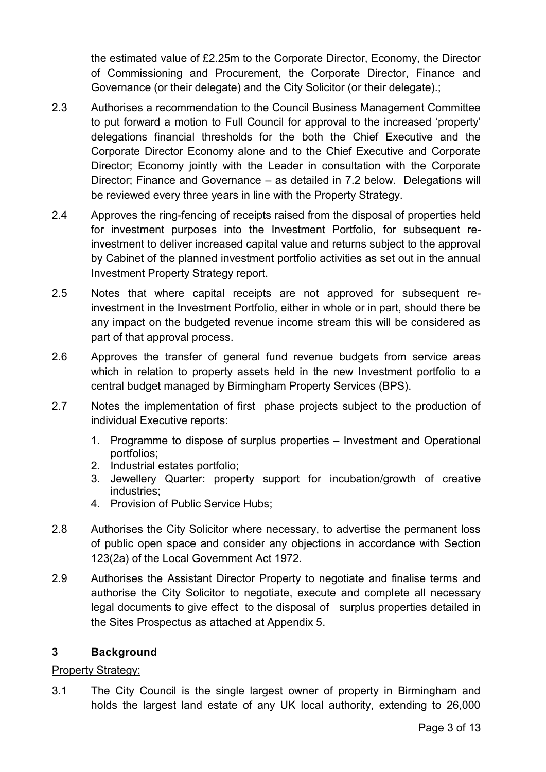the estimated value of £2.25m to the Corporate Director, Economy, the Director of Commissioning and Procurement, the Corporate Director, Finance and Governance (or their delegate) and the City Solicitor (or their delegate).;

- 2.3 Authorises a recommendation to the Council Business Management Committee to put forward a motion to Full Council for approval to the increased 'property' delegations financial thresholds for the both the Chief Executive and the Corporate Director Economy alone and to the Chief Executive and Corporate Director; Economy jointly with the Leader in consultation with the Corporate Director; Finance and Governance – as detailed in 7.2 below. Delegations will be reviewed every three years in line with the Property Strategy.
- 2.4 Approves the ring-fencing of receipts raised from the disposal of properties held for investment purposes into the Investment Portfolio, for subsequent reinvestment to deliver increased capital value and returns subject to the approval by Cabinet of the planned investment portfolio activities as set out in the annual Investment Property Strategy report.
- 2.5 Notes that where capital receipts are not approved for subsequent reinvestment in the Investment Portfolio, either in whole or in part, should there be any impact on the budgeted revenue income stream this will be considered as part of that approval process.
- 2.6 Approves the transfer of general fund revenue budgets from service areas which in relation to property assets held in the new Investment portfolio to a central budget managed by Birmingham Property Services (BPS).
- 2.7 Notes the implementation of first phase projects subject to the production of individual Executive reports:
	- 1. Programme to dispose of surplus properties Investment and Operational portfolios;
	- 2. Industrial estates portfolio;
	- 3. Jewellery Quarter: property support for incubation/growth of creative industries;
	- 4. Provision of Public Service Hubs;
- 2.8 Authorises the City Solicitor where necessary, to advertise the permanent loss of public open space and consider any objections in accordance with Section 123(2a) of the Local Government Act 1972.
- 2.9 Authorises the Assistant Director Property to negotiate and finalise terms and authorise the City Solicitor to negotiate, execute and complete all necessary legal documents to give effect to the disposal of surplus properties detailed in the Sites Prospectus as attached at Appendix 5.

# **3 Background**

# Property Strategy:

3.1 The City Council is the single largest owner of property in Birmingham and holds the largest land estate of any UK local authority, extending to 26,000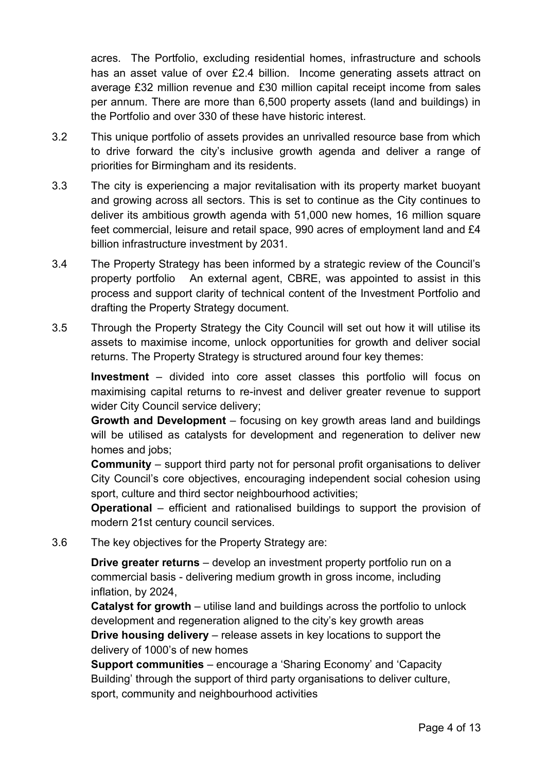acres. The Portfolio, excluding residential homes, infrastructure and schools has an asset value of over £2.4 billion. Income generating assets attract on average £32 million revenue and £30 million capital receipt income from sales per annum. There are more than 6,500 property assets (land and buildings) in the Portfolio and over 330 of these have historic interest.

- 3.2 This unique portfolio of assets provides an unrivalled resource base from which to drive forward the city's inclusive growth agenda and deliver a range of priorities for Birmingham and its residents.
- 3.3 The city is experiencing a major revitalisation with its property market buoyant and growing across all sectors. This is set to continue as the City continues to deliver its ambitious growth agenda with 51,000 new homes, 16 million square feet commercial, leisure and retail space, 990 acres of employment land and £4 billion infrastructure investment by 2031.
- 3.4 The Property Strategy has been informed by a strategic review of the Council's property portfolio An external agent, CBRE, was appointed to assist in this process and support clarity of technical content of the Investment Portfolio and drafting the Property Strategy document.
- 3.5 Through the Property Strategy the City Council will set out how it will utilise its assets to maximise income, unlock opportunities for growth and deliver social returns. The Property Strategy is structured around four key themes:

**Investment** – divided into core asset classes this portfolio will focus on maximising capital returns to re-invest and deliver greater revenue to support wider City Council service delivery;

**Growth and Development** – focusing on key growth areas land and buildings will be utilised as catalysts for development and regeneration to deliver new homes and jobs;

**Community** – support third party not for personal profit organisations to deliver City Council's core objectives, encouraging independent social cohesion using sport, culture and third sector neighbourhood activities;

**Operational** – efficient and rationalised buildings to support the provision of modern 21st century council services.

3.6 The key objectives for the Property Strategy are:

**Drive greater returns** – develop an investment property portfolio run on a commercial basis - delivering medium growth in gross income, including inflation, by 2024,

**Catalyst for growth** – utilise land and buildings across the portfolio to unlock development and regeneration aligned to the city's key growth areas **Drive housing delivery** – release assets in key locations to support the delivery of 1000's of new homes

**Support communities** – encourage a 'Sharing Economy' and 'Capacity Building' through the support of third party organisations to deliver culture, sport, community and neighbourhood activities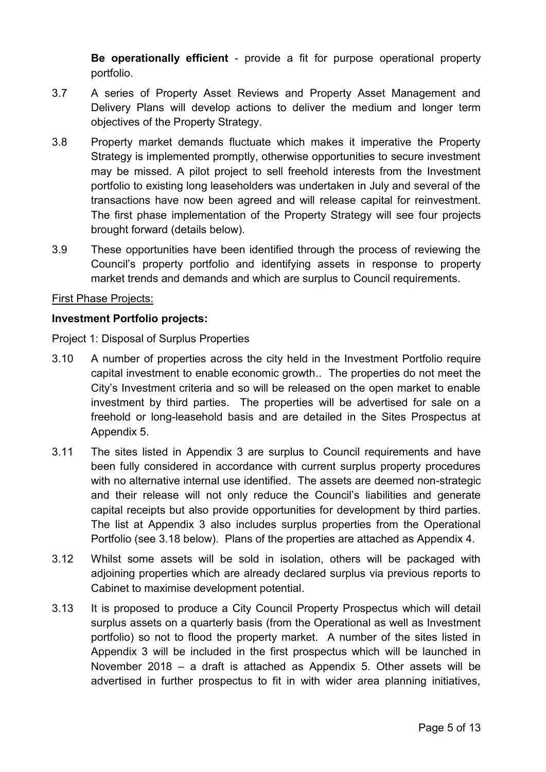**Be operationally efficient** - provide a fit for purpose operational property portfolio.

- 3.7 A series of Property Asset Reviews and Property Asset Management and Delivery Plans will develop actions to deliver the medium and longer term objectives of the Property Strategy.
- 3.8 Property market demands fluctuate which makes it imperative the Property Strategy is implemented promptly, otherwise opportunities to secure investment may be missed. A pilot project to sell freehold interests from the Investment portfolio to existing long leaseholders was undertaken in July and several of the transactions have now been agreed and will release capital for reinvestment. The first phase implementation of the Property Strategy will see four projects brought forward (details below).
- 3.9 These opportunities have been identified through the process of reviewing the Council's property portfolio and identifying assets in response to property market trends and demands and which are surplus to Council requirements.

#### First Phase Projects:

#### **Investment Portfolio projects:**

Project 1: Disposal of Surplus Properties

- 3.10 A number of properties across the city held in the Investment Portfolio require capital investment to enable economic growth.. The properties do not meet the City's Investment criteria and so will be released on the open market to enable investment by third parties. The properties will be advertised for sale on a freehold or long-leasehold basis and are detailed in the Sites Prospectus at Appendix 5.
- 3.11 The sites listed in Appendix 3 are surplus to Council requirements and have been fully considered in accordance with current surplus property procedures with no alternative internal use identified. The assets are deemed non-strategic and their release will not only reduce the Council's liabilities and generate capital receipts but also provide opportunities for development by third parties. The list at Appendix 3 also includes surplus properties from the Operational Portfolio (see 3.18 below). Plans of the properties are attached as Appendix 4.
- 3.12 Whilst some assets will be sold in isolation, others will be packaged with adjoining properties which are already declared surplus via previous reports to Cabinet to maximise development potential.
- 3.13 It is proposed to produce a City Council Property Prospectus which will detail surplus assets on a quarterly basis (from the Operational as well as Investment portfolio) so not to flood the property market. A number of the sites listed in Appendix 3 will be included in the first prospectus which will be launched in November 2018 – a draft is attached as Appendix 5. Other assets will be advertised in further prospectus to fit in with wider area planning initiatives,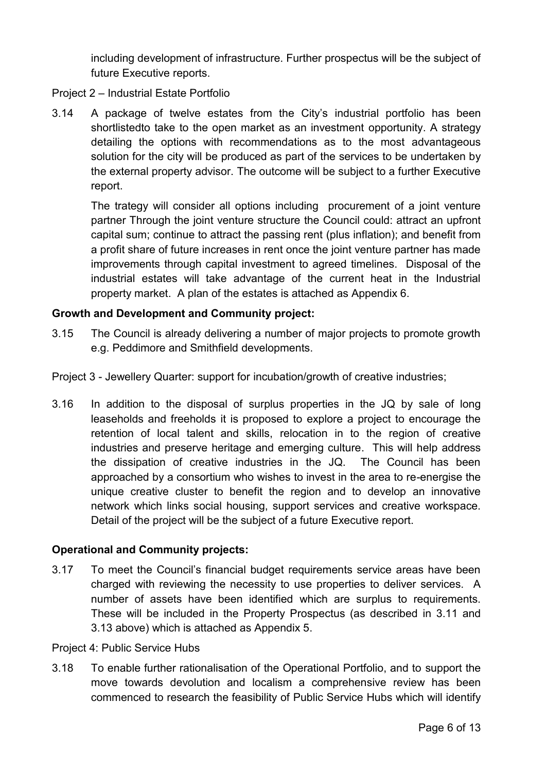including development of infrastructure. Further prospectus will be the subject of future Executive reports.

#### Project 2 – Industrial Estate Portfolio

3.14 A package of twelve estates from the City's industrial portfolio has been shortlistedto take to the open market as an investment opportunity. A strategy detailing the options with recommendations as to the most advantageous solution for the city will be produced as part of the services to be undertaken by the external property advisor. The outcome will be subject to a further Executive report.

The trategy will consider all options including procurement of a joint venture partner Through the joint venture structure the Council could: attract an upfront capital sum; continue to attract the passing rent (plus inflation); and benefit from a profit share of future increases in rent once the joint venture partner has made improvements through capital investment to agreed timelines. Disposal of the industrial estates will take advantage of the current heat in the Industrial property market. A plan of the estates is attached as Appendix 6.

#### **Growth and Development and Community project:**

- 3.15 The Council is already delivering a number of major projects to promote growth e.g. Peddimore and Smithfield developments.
- Project 3 Jewellery Quarter: support for incubation/growth of creative industries;
- 3.16 In addition to the disposal of surplus properties in the JQ by sale of long leaseholds and freeholds it is proposed to explore a project to encourage the retention of local talent and skills, relocation in to the region of creative industries and preserve heritage and emerging culture. This will help address the dissipation of creative industries in the JQ. The Council has been approached by a consortium who wishes to invest in the area to re-energise the unique creative cluster to benefit the region and to develop an innovative network which links social housing, support services and creative workspace. Detail of the project will be the subject of a future Executive report.

# **Operational and Community projects:**

3.17 To meet the Council's financial budget requirements service areas have been charged with reviewing the necessity to use properties to deliver services. A number of assets have been identified which are surplus to requirements. These will be included in the Property Prospectus (as described in 3.11 and 3.13 above) which is attached as Appendix 5.

#### Project 4: Public Service Hubs

3.18 To enable further rationalisation of the Operational Portfolio, and to support the move towards devolution and localism a comprehensive review has been commenced to research the feasibility of Public Service Hubs which will identify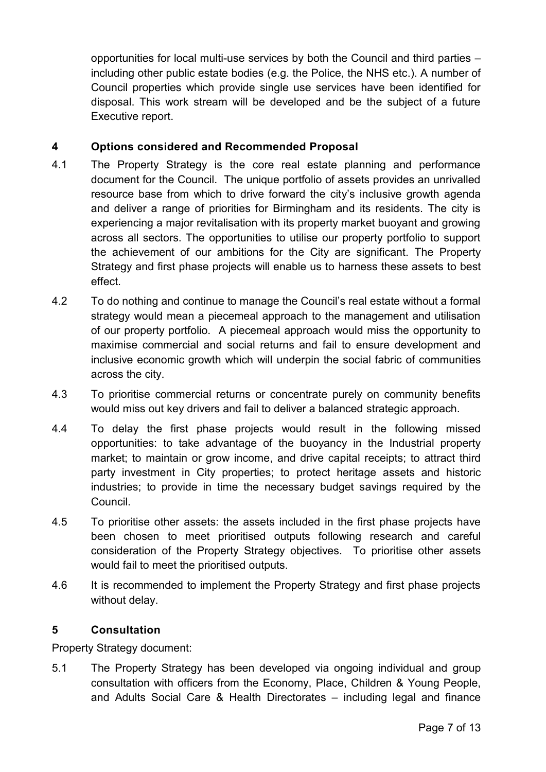opportunities for local multi-use services by both the Council and third parties – including other public estate bodies (e.g. the Police, the NHS etc.). A number of Council properties which provide single use services have been identified for disposal. This work stream will be developed and be the subject of a future Executive report.

# **4 Options considered and Recommended Proposal**

- 4.1 The Property Strategy is the core real estate planning and performance document for the Council. The unique portfolio of assets provides an unrivalled resource base from which to drive forward the city's inclusive growth agenda and deliver a range of priorities for Birmingham and its residents. The city is experiencing a major revitalisation with its property market buoyant and growing across all sectors. The opportunities to utilise our property portfolio to support the achievement of our ambitions for the City are significant. The Property Strategy and first phase projects will enable us to harness these assets to best effect.
- 4.2 To do nothing and continue to manage the Council's real estate without a formal strategy would mean a piecemeal approach to the management and utilisation of our property portfolio. A piecemeal approach would miss the opportunity to maximise commercial and social returns and fail to ensure development and inclusive economic growth which will underpin the social fabric of communities across the city.
- 4.3 To prioritise commercial returns or concentrate purely on community benefits would miss out key drivers and fail to deliver a balanced strategic approach.
- 4.4 To delay the first phase projects would result in the following missed opportunities: to take advantage of the buoyancy in the Industrial property market; to maintain or grow income, and drive capital receipts; to attract third party investment in City properties; to protect heritage assets and historic industries; to provide in time the necessary budget savings required by the Council.
- 4.5 To prioritise other assets: the assets included in the first phase projects have been chosen to meet prioritised outputs following research and careful consideration of the Property Strategy objectives. To prioritise other assets would fail to meet the prioritised outputs.
- 4.6 It is recommended to implement the Property Strategy and first phase projects without delay.

# **5 Consultation**

Property Strategy document:

5.1 The Property Strategy has been developed via ongoing individual and group consultation with officers from the Economy, Place, Children & Young People, and Adults Social Care & Health Directorates – including legal and finance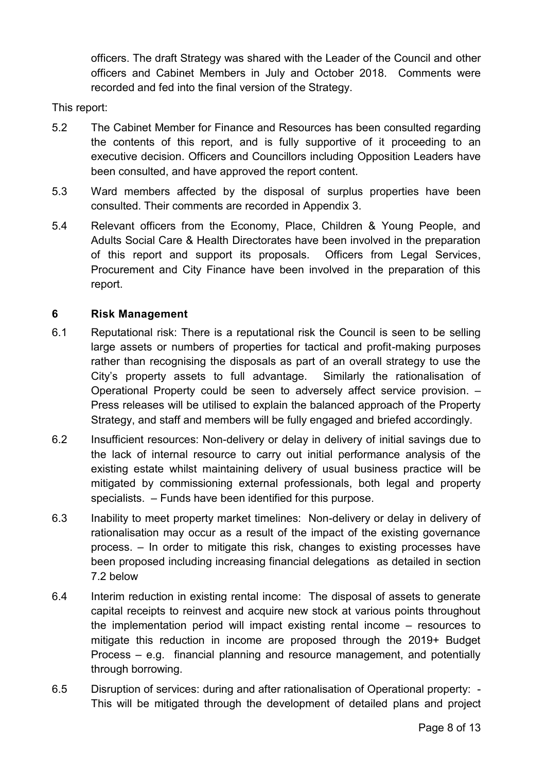officers. The draft Strategy was shared with the Leader of the Council and other officers and Cabinet Members in July and October 2018. Comments were recorded and fed into the final version of the Strategy.

This report:

- 5.2 The Cabinet Member for Finance and Resources has been consulted regarding the contents of this report, and is fully supportive of it proceeding to an executive decision. Officers and Councillors including Opposition Leaders have been consulted, and have approved the report content.
- 5.3 Ward members affected by the disposal of surplus properties have been consulted. Their comments are recorded in Appendix 3.
- 5.4 Relevant officers from the Economy, Place, Children & Young People, and Adults Social Care & Health Directorates have been involved in the preparation of this report and support its proposals. Officers from Legal Services, Procurement and City Finance have been involved in the preparation of this report.

# **6 Risk Management**

- 6.1 Reputational risk: There is a reputational risk the Council is seen to be selling large assets or numbers of properties for tactical and profit-making purposes rather than recognising the disposals as part of an overall strategy to use the City's property assets to full advantage. Similarly the rationalisation of Operational Property could be seen to adversely affect service provision. – Press releases will be utilised to explain the balanced approach of the Property Strategy, and staff and members will be fully engaged and briefed accordingly.
- 6.2 Insufficient resources: Non-delivery or delay in delivery of initial savings due to the lack of internal resource to carry out initial performance analysis of the existing estate whilst maintaining delivery of usual business practice will be mitigated by commissioning external professionals, both legal and property specialists. – Funds have been identified for this purpose.
- 6.3 Inability to meet property market timelines: Non-delivery or delay in delivery of rationalisation may occur as a result of the impact of the existing governance process. – In order to mitigate this risk, changes to existing processes have been proposed including increasing financial delegations as detailed in section 7.2 below
- 6.4 Interim reduction in existing rental income: The disposal of assets to generate capital receipts to reinvest and acquire new stock at various points throughout the implementation period will impact existing rental income – resources to mitigate this reduction in income are proposed through the 2019+ Budget Process – e.g. financial planning and resource management, and potentially through borrowing.
- 6.5 Disruption of services: during and after rationalisation of Operational property: This will be mitigated through the development of detailed plans and project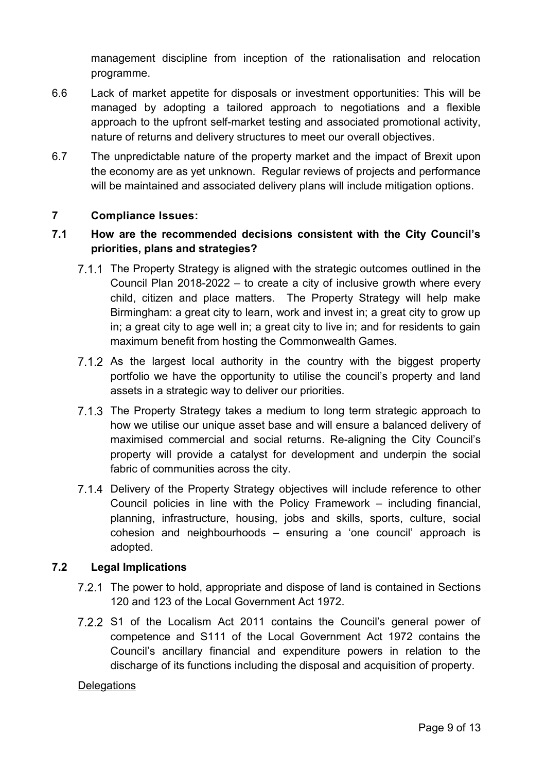management discipline from inception of the rationalisation and relocation programme.

- 6.6 Lack of market appetite for disposals or investment opportunities: This will be managed by adopting a tailored approach to negotiations and a flexible approach to the upfront self-market testing and associated promotional activity, nature of returns and delivery structures to meet our overall objectives.
- 6.7 The unpredictable nature of the property market and the impact of Brexit upon the economy are as yet unknown. Regular reviews of projects and performance will be maintained and associated delivery plans will include mitigation options.

# **7 Compliance Issues:**

# **7.1 How are the recommended decisions consistent with the City Council's priorities, plans and strategies?**

- 7.1.1 The Property Strategy is aligned with the strategic outcomes outlined in the Council Plan 2018-2022 – to create a city of inclusive growth where every child, citizen and place matters. The Property Strategy will help make Birmingham: a great city to learn, work and invest in; a great city to grow up in; a great city to age well in; a great city to live in; and for residents to gain maximum benefit from hosting the Commonwealth Games.
- 7.1.2 As the largest local authority in the country with the biggest property portfolio we have the opportunity to utilise the council's property and land assets in a strategic way to deliver our priorities.
- The Property Strategy takes a medium to long term strategic approach to how we utilise our unique asset base and will ensure a balanced delivery of maximised commercial and social returns. Re-aligning the City Council's property will provide a catalyst for development and underpin the social fabric of communities across the city.
- 7.1.4 Delivery of the Property Strategy objectives will include reference to other Council policies in line with the Policy Framework – including financial, planning, infrastructure, housing, jobs and skills, sports, culture, social cohesion and neighbourhoods – ensuring a 'one council' approach is adopted.

# **7.2 Legal Implications**

- The power to hold, appropriate and dispose of land is contained in Sections 120 and 123 of the Local Government Act 1972.
- 7.2.2 S1 of the Localism Act 2011 contains the Council's general power of competence and S111 of the Local Government Act 1972 contains the Council's ancillary financial and expenditure powers in relation to the discharge of its functions including the disposal and acquisition of property.

#### **Delegations**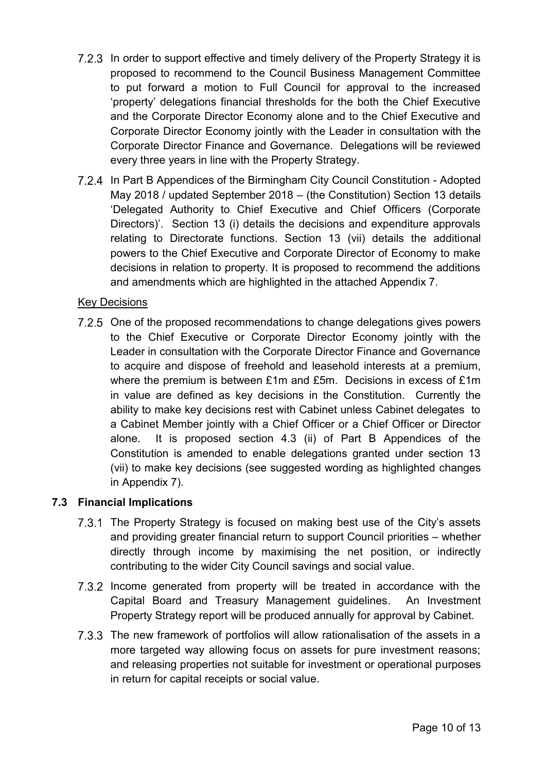- 7.2.3 In order to support effective and timely delivery of the Property Strategy it is proposed to recommend to the Council Business Management Committee to put forward a motion to Full Council for approval to the increased 'property' delegations financial thresholds for the both the Chief Executive and the Corporate Director Economy alone and to the Chief Executive and Corporate Director Economy jointly with the Leader in consultation with the Corporate Director Finance and Governance. Delegations will be reviewed every three years in line with the Property Strategy.
- 7.2.4 In Part B Appendices of the Birmingham City Council Constitution Adopted May 2018 / updated September 2018 – (the Constitution) Section 13 details 'Delegated Authority to Chief Executive and Chief Officers (Corporate Directors)'. Section 13 (i) details the decisions and expenditure approvals relating to Directorate functions. Section 13 (vii) details the additional powers to the Chief Executive and Corporate Director of Economy to make decisions in relation to property. It is proposed to recommend the additions and amendments which are highlighted in the attached Appendix 7.

# Key Decisions

7.2.5 One of the proposed recommendations to change delegations gives powers to the Chief Executive or Corporate Director Economy jointly with the Leader in consultation with the Corporate Director Finance and Governance to acquire and dispose of freehold and leasehold interests at a premium, where the premium is between £1m and £5m. Decisions in excess of £1m in value are defined as key decisions in the Constitution. Currently the ability to make key decisions rest with Cabinet unless Cabinet delegates to a Cabinet Member jointly with a Chief Officer or a Chief Officer or Director alone. It is proposed section 4.3 (ii) of Part B Appendices of the Constitution is amended to enable delegations granted under section 13 (vii) to make key decisions (see suggested wording as highlighted changes in Appendix 7).

# **7.3 Financial Implications**

- 7.3.1 The Property Strategy is focused on making best use of the City's assets and providing greater financial return to support Council priorities – whether directly through income by maximising the net position, or indirectly contributing to the wider City Council savings and social value.
- 7.3.2 Income generated from property will be treated in accordance with the Capital Board and Treasury Management guidelines. An Investment Property Strategy report will be produced annually for approval by Cabinet.
- 7.3.3 The new framework of portfolios will allow rationalisation of the assets in a more targeted way allowing focus on assets for pure investment reasons; and releasing properties not suitable for investment or operational purposes in return for capital receipts or social value.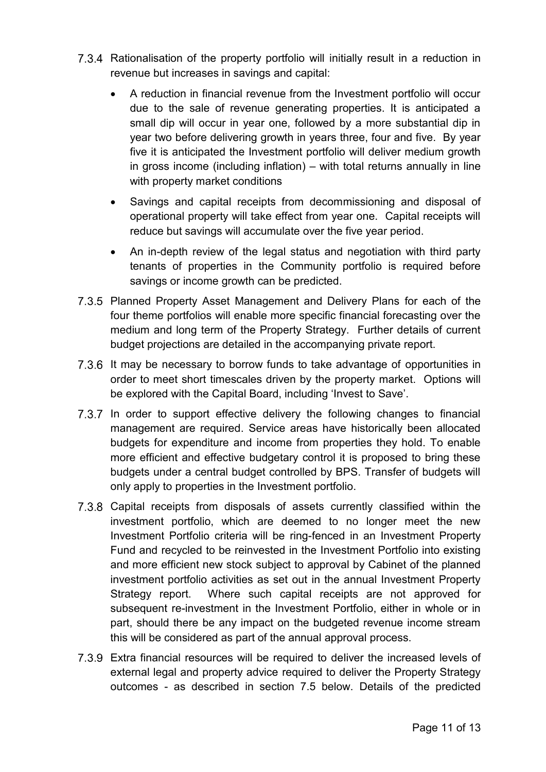- 7.3.4 Rationalisation of the property portfolio will initially result in a reduction in revenue but increases in savings and capital:
	- A reduction in financial revenue from the Investment portfolio will occur due to the sale of revenue generating properties. It is anticipated a small dip will occur in year one, followed by a more substantial dip in year two before delivering growth in years three, four and five. By year five it is anticipated the Investment portfolio will deliver medium growth in gross income (including inflation) – with total returns annually in line with property market conditions
	- Savings and capital receipts from decommissioning and disposal of operational property will take effect from year one. Capital receipts will reduce but savings will accumulate over the five year period.
	- An in-depth review of the legal status and negotiation with third party tenants of properties in the Community portfolio is required before savings or income growth can be predicted.
- 7.3.5 Planned Property Asset Management and Delivery Plans for each of the four theme portfolios will enable more specific financial forecasting over the medium and long term of the Property Strategy. Further details of current budget projections are detailed in the accompanying private report.
- 7.3.6 It may be necessary to borrow funds to take advantage of opportunities in order to meet short timescales driven by the property market. Options will be explored with the Capital Board, including 'Invest to Save'.
- 7.3.7 In order to support effective delivery the following changes to financial management are required. Service areas have historically been allocated budgets for expenditure and income from properties they hold. To enable more efficient and effective budgetary control it is proposed to bring these budgets under a central budget controlled by BPS. Transfer of budgets will only apply to properties in the Investment portfolio.
- 7.3.8 Capital receipts from disposals of assets currently classified within the investment portfolio, which are deemed to no longer meet the new Investment Portfolio criteria will be ring-fenced in an Investment Property Fund and recycled to be reinvested in the Investment Portfolio into existing and more efficient new stock subject to approval by Cabinet of the planned investment portfolio activities as set out in the annual Investment Property Strategy report. Where such capital receipts are not approved for subsequent re-investment in the Investment Portfolio, either in whole or in part, should there be any impact on the budgeted revenue income stream this will be considered as part of the annual approval process.
- Extra financial resources will be required to deliver the increased levels of external legal and property advice required to deliver the Property Strategy outcomes - as described in section 7.5 below. Details of the predicted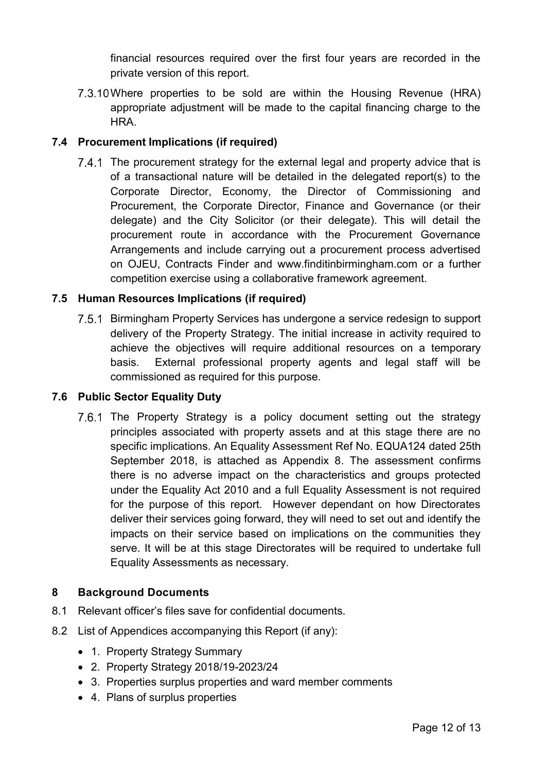financial resources required over the first four years are recorded in the private version of this report.

7.3.10 Where properties to be sold are within the Housing Revenue (HRA) appropriate adjustment will be made to the capital financing charge to the HRA.

# **7.4 Procurement Implications (if required)**

7.4.1 The procurement strategy for the external legal and property advice that is of a transactional nature will be detailed in the delegated report(s) to the Corporate Director, Economy, the Director of Commissioning and Procurement, the Corporate Director, Finance and Governance (or their delegate) and the City Solicitor (or their delegate). This will detail the procurement route in accordance with the Procurement Governance Arrangements and include carrying out a procurement process advertised on OJEU, Contracts Finder and www.finditinbirmingham.com or a further competition exercise using a collaborative framework agreement.

# **7.5 Human Resources Implications (if required)**

7.5.1 Birmingham Property Services has undergone a service redesign to support delivery of the Property Strategy. The initial increase in activity required to achieve the objectives will require additional resources on a temporary basis. External professional property agents and legal staff will be commissioned as required for this purpose.

# **7.6 Public Sector Equality Duty**

7.6.1 The Property Strategy is a policy document setting out the strategy principles associated with property assets and at this stage there are no specific implications. An Equality Assessment Ref No. EQUA124 dated 25th September 2018, is attached as Appendix 8. The assessment confirms there is no adverse impact on the characteristics and groups protected under the Equality Act 2010 and a full Equality Assessment is not required for the purpose of this report. However dependant on how Directorates deliver their services going forward, they will need to set out and identify the impacts on their service based on implications on the communities they serve. It will be at this stage Directorates will be required to undertake full Equality Assessments as necessary.

# **8 Background Documents**

- 8.1 Relevant officer's files save for confidential documents.
- 8.2 List of Appendices accompanying this Report (if any):
	- 1. Property Strategy Summary
	- 2. Property Strategy 2018/19-2023/24
	- 3. Properties surplus properties and ward member comments
	- 4. Plans of surplus properties